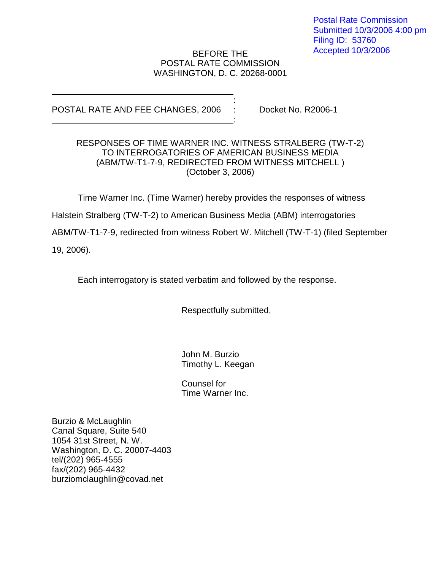Postal Rate Commission Submitted 10/3/2006 4:00 pm Filing ID: 53760 Accepted 10/3/2006

## BEFORE THE POSTAL RATE COMMISSION WASHINGTON, D. C. 20268-0001

:

:

POSTAL RATE AND FEE CHANGES, 2006 : Docket No. R2006-1

## RESPONSES OF TIME WARNER INC. WITNESS STRALBERG (TW-T-2) TO INTERROGATORIES OF AMERICAN BUSINESS MEDIA (ABM/TW-T1-7-9, REDIRECTED FROM WITNESS MITCHELL ) (October 3, 2006)

Time Warner Inc. (Time Warner) hereby provides the responses of witness

Halstein Stralberg (TW-T-2) to American Business Media (ABM) interrogatories

ABM/TW-T1-7-9, redirected from witness Robert W. Mitchell (TW-T-1) (filed September

19, 2006).

Each interrogatory is stated verbatim and followed by the response.

Respectfully submitted,

John M. Burzio Timothy L. Keegan

Counsel for Time Warner Inc.

Burzio & McLaughlin Canal Square, Suite 540 1054 31st Street, N. W. Washington, D. C. 20007-4403 tel/(202) 965-4555 fax/(202) 965-4432 burziomclaughlin@covad.net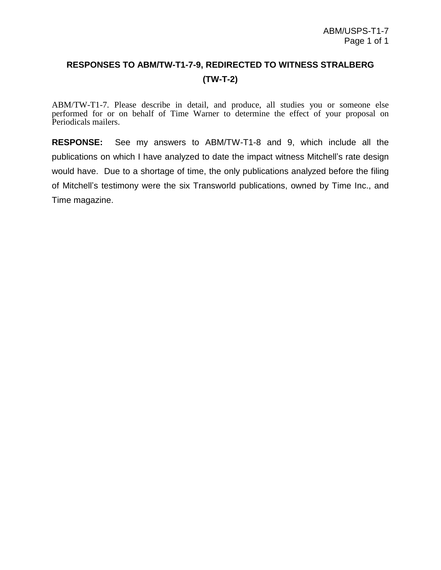## **RESPONSES TO ABM/TW-T1-7-9, REDIRECTED TO WITNESS STRALBERG (TW-T-2)**

ABM/TW-T1-7. Please describe in detail, and produce, all studies you or someone else performed for or on behalf of Time Warner to determine the effect of your proposal on Periodicals mailers.

**RESPONSE:** See my answers to ABM/TW-T1-8 and 9, which include all the publications on which I have analyzed to date the impact witness Mitchell's rate design would have. Due to a shortage of time, the only publications analyzed before the filing of Mitchell's testimony were the six Transworld publications, owned by Time Inc., and Time magazine.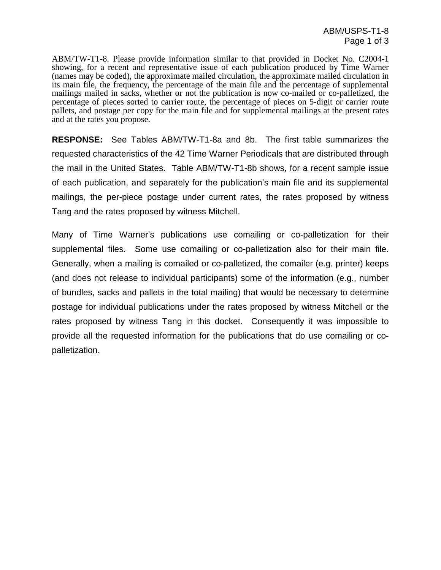ABM/TW-T1-8. Please provide information similar to that provided in Docket No. C2004-1 showing, for a recent and representative issue of each publication produced by Time Warner (names may be coded), the approximate mailed circulation, the approximate mailed circulation in its main file, the frequency, the percentage of the main file and the percentage of supplemental mailings mailed in sacks, whether or not the publication is now co-mailed orco-palletized, the percentage of pieces sorted to carrier route, the percentage of pieces on 5-digit or carrier route pallets, and postage per copy for the main file and for supplemental mailings at the present rates and at the rates you propose.

**RESPONSE:** See Tables ABM/TW-T1-8a and 8b. The first table summarizes the requested characteristics of the 42 Time Warner Periodicals that are distributed through the mail in the United States. Table ABM/TW-T1-8b shows, for a recent sample issue of each publication, and separately for the publication's main file and its supplemental mailings, the per-piece postage under current rates, the rates proposed by witness Tang and the rates proposed by witness Mitchell.

Many of Time Warner's publications use comailing or co-palletization for their supplemental files. Some use comailing or co-palletization also for their main file.<br>Generally, when a mailing is comailed or co-palletized, the comailer (e.g. printer) keeps (and does not release to individual participants) some of the information (e.g., number of bundles, sacks and pallets in the total mailing) that would be necessary to determine postage for individual publications under the rates proposed by witness Mitchell or the rates proposed by witness Tang in this docket. Consequently it was impossible to provide all the requested information for the publications that do use comailing or co palletization.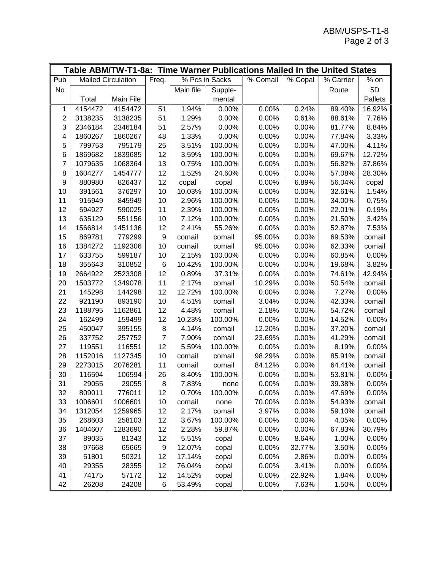|                |         |                           |                |           |                | Table ABM/TW-T1-8a: Time Warner Publications Mailed In the United States |                       |                         |          |
|----------------|---------|---------------------------|----------------|-----------|----------------|--------------------------------------------------------------------------|-----------------------|-------------------------|----------|
| Pub            |         | <b>Mailed Circulation</b> | Freq.          |           | % Pcs in Sacks | % Comail                                                                 | $\overline{\%}$ Copal | $\overline{\%}$ Carrier | $%$ on   |
| No             |         |                           |                | Main file | Supple-        |                                                                          |                       | Route                   | 5D       |
|                | Total   | Main File                 |                |           | mental         |                                                                          |                       |                         | Pallets  |
| 1              | 4154472 | 4154472                   | 51             | 1.94%     | 0.00%          | 0.00%                                                                    | 0.24%                 | 89.40%                  | 16.92%   |
| $\overline{c}$ | 3138235 | 3138235                   | 51             | 1.29%     | 0.00%          | 0.00%                                                                    | 0.61%                 | 88.61%                  | 7.76%    |
| 3              | 2346184 | 2346184                   | 51             | 2.57%     | 0.00%          | 0.00%                                                                    | 0.00%                 | 81.77%                  | 8.84%    |
| 4              | 1860267 | 1860267                   | 48             | 1.33%     | 0.00%          | 0.00%                                                                    | 0.00%                 | 77.84%                  | 3.33%    |
| 5              | 799753  | 795179                    | 25             | 3.51%     | 100.00%        | 0.00%                                                                    | 0.00%                 | 47.00%                  | 4.11%    |
| 6              | 1869682 | 1839685                   | 12             | 3.59%     | 100.00%        | 0.00%                                                                    | 0.00%                 | 69.67%                  | 12.72%   |
| 7              | 1079635 | 1068364                   | 13             | 0.75%     | 100.00%        | 0.00%                                                                    | 0.00%                 | 56.82%                  | 37.86%   |
| 8              | 1604277 | 1454777                   | 12             | 1.52%     | 24.60%         | 0.00%                                                                    | 0.00%                 | 57.08%                  | 28.30%   |
| 9              | 880980  | 826437                    | 12             | copal     | copal          | 0.00%                                                                    | 6.89%                 | 56.04%                  | copal    |
| 10             | 391561  | 376297                    | 10             | 10.03%    | 100.00%        | 0.00%                                                                    | 0.00%                 | 32.61%                  | 1.54%    |
| 11             | 915949  | 845949                    | 10             | 2.96%     | 100.00%        | 0.00%                                                                    | 0.00%                 | 34.00%                  | 0.75%    |
| 12             | 594927  | 590025                    | 11             | 2.39%     | 100.00%        | 0.00%                                                                    | 0.00%                 | 22.01%                  | 0.19%    |
| 13             | 635129  | 551156                    | 10             | 7.12%     | 100.00%        | 0.00%                                                                    | 0.00%                 | 21.50%                  | 3.42%    |
| 14             | 1566814 | 1451136                   | 12             | 2.41%     | 55.26%         | 0.00%                                                                    | 0.00%                 | 52.87%                  | 7.53%    |
| 15             | 869781  | 779299                    | 9              | comail    | comail         | 95.00%                                                                   | 0.00%                 | 69.53%                  | comail   |
| 16             | 1384272 | 1192306                   | 10             | comail    | comail         | 95.00%                                                                   | 0.00%                 | 62.33%                  | comail   |
| 17             | 633755  | 599187                    | 10             | 2.15%     | 100.00%        | 0.00%                                                                    | 0.00%                 | 60.85%                  | 0.00%    |
| 18             | 355643  | 310852                    | $\,6$          | 10.42%    | 100.00%        | 0.00%                                                                    | 0.00%                 | 19.68%                  | 3.82%    |
| 19             | 2664922 | 2523308                   | 12             | 0.89%     | 37.31%         | 0.00%                                                                    | 0.00%                 | 74.61%                  | 42.94%   |
| 20             | 1503772 | 1349078                   | 11             | 2.17%     | comail         | 10.29%                                                                   | 0.00%                 | 50.54%                  | comail   |
| 21             | 145298  | 144298                    | 12             | 12.72%    | 100.00%        | 0.00%                                                                    | 0.00%                 | 7.27%                   | 0.00%    |
| 22             | 921190  | 893190                    | 10             | 4.51%     | comail         | 3.04%                                                                    | 0.00%                 | 42.33%                  | comail   |
| 23             | 1188795 | 1162861                   | 12             | 4.48%     | comail         | 2.18%                                                                    | 0.00%                 | 54.72%                  | comail   |
| 24             | 162499  | 159499                    | 12             | 10.23%    | 100.00%        | 0.00%                                                                    | 0.00%                 | 14.52%                  | 0.00%    |
| 25             | 450047  | 395155                    | 8              | 4.14%     | comail         | 12.20%                                                                   | 0.00%                 | 37.20%                  | comail   |
| 26             | 337752  | 257752                    | $\overline{7}$ | 7.90%     | comail         | 23.69%                                                                   | 0.00%                 | 41.29%                  | comail   |
| 27             | 119551  | 116551                    | 12             | 5.59%     | 100.00%        | 0.00%                                                                    | 0.00%                 | 8.19%                   | 0.00%    |
| 28             | 1152016 | 1127345                   | 10             | comail    | comail         | 98.29%                                                                   | 0.00%                 | 85.91%                  | comail   |
| 29             | 2273015 | 2076281                   | 11             | comail    | comail         | 84.12%                                                                   | 0.00%                 | 64.41%                  | comail   |
| 30             | 116594  | 106594                    | 26             | 8.40%     | 100.00%        | 0.00%                                                                    | 0.00%                 | 53.81%                  | 0.00%    |
| 31             | 29055   | 29055                     | 8              | 7.83%     | none           | 0.00%                                                                    | $0.00\%$              | 39.38%                  | $0.00\%$ |
| 32             | 809011  | 776011                    | 12             | 0.70%     | 100.00%        | 0.00%                                                                    | 0.00%                 | 47.69%                  | 0.00%    |
| 33             | 1006601 | 1006601                   | 10             | comail    | none           | 70.00%                                                                   | 0.00%                 | 54.93%                  | comail   |
| 34             | 1312054 | 1259965                   | 12             | 2.17%     | comail         | 3.97%                                                                    | 0.00%                 | 59.10%                  | comail   |
| 35             | 268603  | 258103                    | 12             | 3.67%     | 100.00%        | 0.00%                                                                    | 0.00%                 | 4.05%                   | 0.00%    |
| 36             | 1404607 | 1283690                   | 12             | 2.28%     | 59.87%         | 0.00%                                                                    | 0.00%                 | 67.83%                  | 30.79%   |
| 37             | 89035   | 81343                     | 12             | 5.51%     | copal          | 0.00%                                                                    | 8.64%                 | 1.00%                   | 0.00%    |
| 38             | 97668   | 65665                     | 9              | 12.07%    | copal          | 0.00%                                                                    | 32.77%                | 3.50%                   | 0.00%    |
| 39             | 51801   | 50321                     | 12             | 17.14%    | copal          | 0.00%                                                                    | 2.86%                 | 0.00%                   | 0.00%    |
| 40             | 29355   | 28355                     | 12             | 76.04%    | copal          | 0.00%                                                                    | 3.41%                 | 0.00%                   | 0.00%    |
| 41             | 74175   | 57172                     | 12             | 14.52%    | copal          | 0.00%                                                                    | 22.92%                | 1.84%                   | 0.00%    |
| 42             | 26208   | 24208                     | 6              | 53.49%    | copal          | 0.00%                                                                    | 7.63%                 | 1.50%                   | 0.00%    |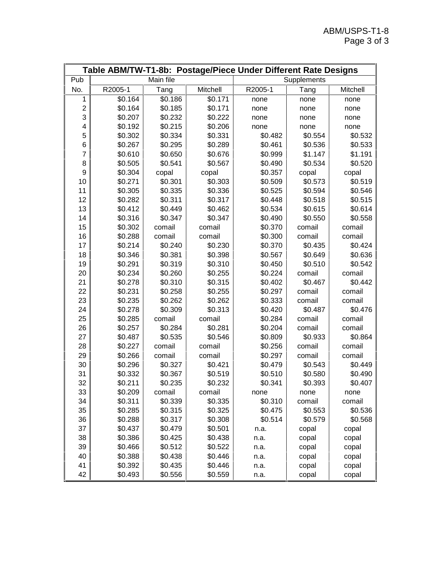|                  |         |           |          | Table ABM/TW-T1-8b: Postage/Piece Under Different Rate Designs |             |          |
|------------------|---------|-----------|----------|----------------------------------------------------------------|-------------|----------|
| Pub              |         | Main file |          |                                                                | Supplements |          |
| No.              | R2005-1 | Tang      | Mitchell | R2005-1                                                        | Tang        | Mitchell |
| 1                | \$0.164 | \$0.186   | \$0.171  | none                                                           | none        | none     |
| $\boldsymbol{2}$ | \$0.164 | \$0.185   | \$0.171  | none                                                           | none        | none     |
| 3                | \$0.207 | \$0.232   | \$0.222  | none                                                           | none        | none     |
| 4                | \$0.192 | \$0.215   | \$0.206  | none                                                           | none        | none     |
| 5                | \$0.302 | \$0.334   | \$0.331  | \$0.482                                                        | \$0.554     | \$0.532  |
| 6                | \$0.267 | \$0.295   | \$0.289  | \$0.461                                                        | \$0.536     | \$0.533  |
| 7                | \$0.610 | \$0.650   | \$0.676  | \$0.999                                                        | \$1.147     | \$1.191  |
| 8                | \$0.505 | \$0.541   | \$0.567  | \$0.490                                                        | \$0.534     | \$0.520  |
| 9                | \$0.304 | copal     | copal    | \$0.357                                                        | copal       | copal    |
| 10               | \$0.271 | \$0.301   | \$0.303  | \$0.509                                                        | \$0.573     | \$0.519  |
| 11               | \$0.305 | \$0.335   | \$0.336  | \$0.525                                                        | \$0.594     | \$0.546  |
| 12               | \$0.282 | \$0.311   | \$0.317  | \$0.448                                                        | \$0.518     | \$0.515  |
| 13               | \$0.412 | \$0.449   | \$0.462  | \$0.534                                                        | \$0.615     | \$0.614  |
| 14               | \$0.316 | \$0.347   | \$0.347  | \$0.490                                                        | \$0.550     | \$0.558  |
| 15               | \$0.302 | comail    | comail   | \$0.370                                                        | comail      | comail   |
| 16               | \$0.288 | comail    | comail   | \$0.300                                                        | comail      | comail   |
| 17               | \$0.214 | \$0.240   | \$0.230  | \$0.370                                                        | \$0.435     | \$0.424  |
| 18               | \$0.346 | \$0.381   | \$0.398  | \$0.567                                                        | \$0.649     | \$0.636  |
| 19               | \$0.291 | \$0.319   | \$0.310  | \$0.450                                                        | \$0.510     | \$0.542  |
| 20               | \$0.234 | \$0.260   | \$0.255  | \$0.224                                                        | comail      | comail   |
| 21               | \$0.278 | \$0.310   | \$0.315  | \$0.402                                                        | \$0.467     | \$0.442  |
| 22               | \$0.231 | \$0.258   | \$0.255  | \$0.297                                                        | comail      | comail   |
| 23               | \$0.235 | \$0.262   | \$0.262  | \$0.333                                                        | comail      | comail   |
| 24               | \$0.278 | \$0.309   | \$0.313  | \$0.420                                                        | \$0.487     | \$0.476  |
| 25               | \$0.285 | comail    | comail   | \$0.284                                                        | comail      | comail   |
| 26               | \$0.257 | \$0.284   | \$0.281  | \$0.204                                                        | comail      | comail   |
| 27               | \$0.487 | \$0.535   | \$0.546  | \$0.809                                                        | \$0.933     | \$0.864  |
| 28               | \$0.227 | comail    | comail   | \$0.256                                                        | comail      | comail   |
| 29               | \$0.266 | comail    | comail   | \$0.297                                                        | comail      | comail   |
| 30               | \$0.296 | \$0.327   | \$0.421  | \$0.479                                                        | \$0.543     | \$0.449  |
| 31               | \$0.332 | \$0.367   | \$0.519  | \$0.510                                                        | \$0.580     | \$0.490  |
| 32               | \$0.211 | \$0.235   | \$0.232  | \$0.341                                                        | \$0.393     | \$0.407  |
| 33               | \$0.209 | comail    | comail   | none                                                           | none        | none     |
| 34               | \$0.311 | \$0.339   | \$0.335  | \$0.310                                                        | comail      | comail   |
| 35               | \$0.285 | \$0.315   | \$0.325  | \$0.475                                                        | \$0.553     | \$0.536  |
| 36               | \$0.288 | \$0.317   | \$0.308  | \$0.514                                                        | \$0.579     | \$0.568  |
| 37               | \$0.437 | \$0.479   | \$0.501  | n.a.                                                           | copal       | copal    |
| 38               | \$0.386 | \$0.425   | \$0.438  | n.a.                                                           | copal       | copal    |
| 39               | \$0.466 | \$0.512   | \$0.522  | n.a.                                                           | copal       | copal    |
| 40               | \$0.388 | \$0.438   | \$0.446  | n.a.                                                           | copal       | copal    |
| 41               | \$0.392 | \$0.435   | \$0.446  | n.a.                                                           | copal       | copal    |
| 42               | \$0.493 | \$0.556   | \$0.559  | n.a.                                                           | copal       | copal    |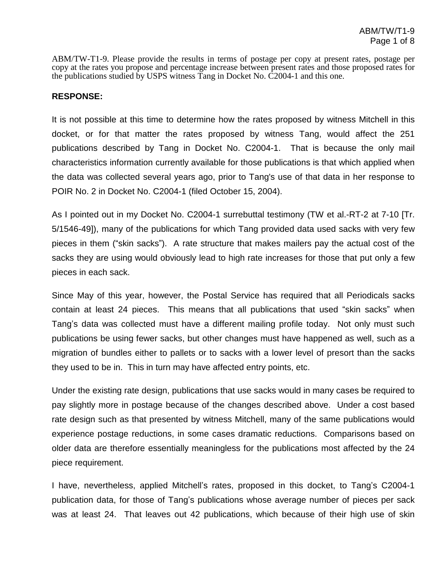ABM/TW-T1-9. Please provide the results in terms of postage per copy at present rates, postage per copy at the rates you propose and percentage increase between present rates and those proposed rates for the publications studied by USPS witness Tang in Docket No. C2004-1 and this one.

## **RESPONSE:**

It is not possible at this time to determine how the rates proposed by witness Mitchell in this docket, or for that matter the rates proposed by witness Tang, would affect the 251 publications described by Tang in Docket No. C2004-1. That is because the only mail characteristics information currently available for those publications is that which applied when the data was collected several years ago, prior to Tang's use of that data in her response to POIR No. 2 in Docket No. C2004-1 (filed October 15, 2004).

As I pointed out in my Docket No. C2004-1 surrebuttal testimony (TW et al.-RT-2 at 7-10 [Tr. 5/1546-49]), many of the publications for which Tang provided data used sacks with very few pieces in them ("skin sacks"). A rate structure that makes mailers pay the actual cost of the sacks they are using would obviously lead to high rate increases for those that put only a few pieces in each sack.

Since May of this year, however, the Postal Service has required that all Periodicals sacks contain at least 24 pieces. This means that all publications that used "skin sacks" when Tang's data was collected must have a different mailing profile today. Not only must such publications be using fewer sacks, but other changes must have happened as well, such as a migration of bundles either to pallets or to sacks with a lower level of presort than the sacks they used to be in. This in turn may have affected entry points, etc.

Under the existing rate design, publications that use sacks would in many cases be required to pay slightly more in postage because of the changes described above. Under a cost based rate design such as that presented by witness Mitchell, many of the same publications would experience postage reductions, in some cases dramatic reductions. Comparisons based on older data are therefore essentially meaningless for the publications most affected by the 24 piece requirement.

I have, nevertheless, applied Mitchell's rates, proposed in this docket, to Tang's C2004-1 publication data, for those of Tang's publications whose average number of pieces per sack was at least 24. That leaves out 42 publications, which because of their high use of skin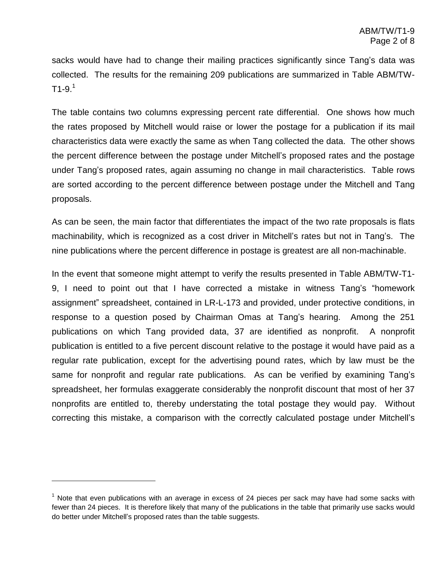sacks would have had to change their mailing practices significantly since Tang's data was collected. The results for the remaining 209 publications are summarized in Table ABM/TW-  $T1-9.1$ 

The table contains two columns expressing percent rate differential. One shows how much the rates proposed by Mitchell would raise or lower the postage for a publication if its mail characteristics data were exactly the same as when Tang collected the data. The other shows the percent difference between the postage under Mitchell's proposed rates and the postage under Tang's proposed rates, again assuming no change in mail characteristics. Table rows are sorted according to the percent difference between postage under the Mitchell and Tang proposals.

As can be seen, the main factor that differentiates the impact of the two rate proposals is flats machinability, which is recognized as a cost driver in Mitchell's rates but not in Tang's. The nine publications where the percent difference in postage is greatest are all non-machinable.

In the event that someone might attempt to verify the results presented in Table ABM/TW-T1- 9, I need to point out that I have corrected a mistake in witness Tang's "homework assignment" spreadsheet, contained in LR-L-173 and provided, under protective conditions, in response to a question posed by Chairman Omas at Tang's hearing. Among the 251 publications on which Tang provided data, 37 are identified as nonprofit. A nonprofit publication is entitled to a five percent discount relative to the postage it would have paid as a regular rate publication, except for the advertising pound rates, which by law must be the same for nonprofit and regular rate publications. As can be verified by examining Tang's spreadsheet, her formulas exaggerate considerably the nonprofit discount that most of her 37 nonprofits are entitled to, thereby understating the total postage they would pay. Without correcting this mistake, a comparison with the correctly calculated postage under Mitchell's

 $1$  Note that even publications with an average in excess of 24 pieces per sack may have had some sacks with fewer than 24 pieces. It is therefore likely that many of the publications in the table that primarily use sacks would do better under Mitchell's proposed rates than the table suggests.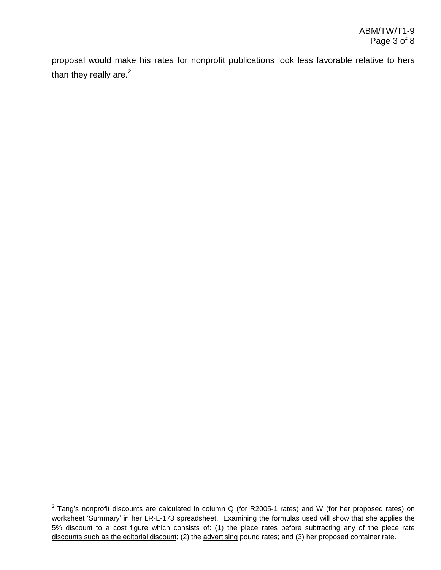proposal would make his rates for nonprofit publications look less favorable relative to hers than they really are. $2$ 

 $2$  Tang's nonprofit discounts are calculated in column Q (for R2005-1 rates) and W (for her proposed rates) on worksheet 'Summary' in her LR-L-173 spreadsheet. Examining the formulas used will show that she applies the 5% discount to a cost figure which consists of:(1) the piece rates before subtracting any of the piece rate discounts such as the editorial discount; (2) the advertising pound rates; and (3) her proposed container rate.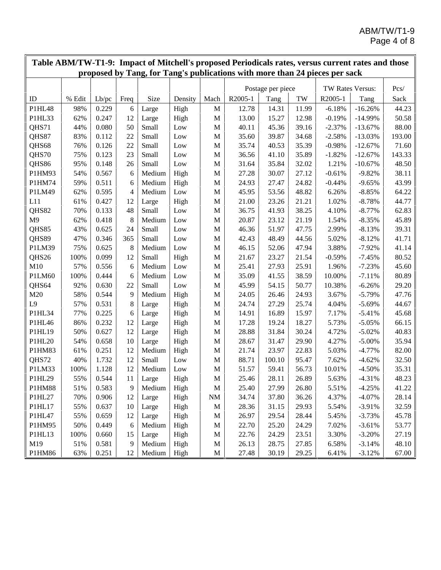|                |        |       |      |               |         |              | Table ABM/TW-T1-9: Impact of Mitchell's proposed Periodicals rates, versus current rates and those |                   |       |                  |           |        |
|----------------|--------|-------|------|---------------|---------|--------------|----------------------------------------------------------------------------------------------------|-------------------|-------|------------------|-----------|--------|
|                |        |       |      |               |         |              | proposed by Tang, for Tang's publications with more than 24 pieces per sack                        |                   |       |                  |           |        |
|                |        |       |      |               |         |              |                                                                                                    | Postage per piece |       | TW Rates Versus: |           |        |
| ID             | % Edit | Lb/pc | Freq | Size          | Density | Mach         | R2005-1                                                                                            | Tang              | TW    | R2005-1          | Tang      | Sack   |
| P1HL48         | 98%    | 0.229 | 6    | Large         | High    | $\mathbf M$  | 12.78                                                                                              | 14.31             | 11.99 | $-6.18%$         | $-16.26%$ | 44.23  |
| P1HL33         | 62%    | 0.247 | 12   | Large         | High    | $\mathbf M$  | 13.00                                                                                              | 15.27             | 12.98 | $-0.19%$         | $-14.99%$ | 50.58  |
| QHS71          | 44%    | 0.080 | 50   | Small         | Low     | M            | 40.11                                                                                              | 45.36             | 39.16 | $-2.37%$         | $-13.67%$ | 88.00  |
| QHS87          | 83%    | 0.112 | 22   | Small         | Low     | M            | 35.60                                                                                              | 39.87             | 34.68 | $-2.58%$         | $-13.03%$ | 193.00 |
| QHS68          | 76%    | 0.126 | 22   | Small         | Low     | $\mathbf M$  | 35.74                                                                                              | 40.53             | 35.39 | $-0.98%$         | $-12.67%$ | 71.60  |
| QHS70          | 75%    | 0.123 | 23   | Small         | Low     | M            | 36.56                                                                                              | 41.10             | 35.89 | $-1.82%$         | $-12.67%$ | 143.33 |
| QHS86          | 95%    | 0.148 | 26   | Small         | Low     | M            | 31.64                                                                                              | 35.84             | 32.02 | 1.21%            | $-10.67%$ | 48.50  |
| P1HM93         | 54%    | 0.567 | 6    | Medium        | High    | $\mathbf M$  | 27.28                                                                                              | 30.07             | 27.12 | $-0.61%$         | $-9.82%$  | 38.11  |
| P1HM74         | 59%    | 0.511 | 6    | Medium        | High    | $\mathbf M$  | 24.93                                                                                              | 27.47             | 24.82 | $-0.44%$         | $-9.65%$  | 43.99  |
| P1LM49         | 62%    | 0.595 | 4    | Medium        | Low     | M            | 45.95                                                                                              | 53.56             | 48.82 | 6.26%            | $-8.85%$  | 64.22  |
| L11            | 61%    | 0.427 | 12   | Large         | High    | $\mathbf M$  | 21.00                                                                                              | 23.26             | 21.21 | 1.02%            | $-8.78%$  | 44.77  |
| QHS82          | 70%    | 0.133 | 48   | Small         | Low     | M            | 36.75                                                                                              | 41.93             | 38.25 | 4.10%            | $-8.77%$  | 62.83  |
| M <sub>9</sub> | 62%    | 0.418 | 8    | Medium        | Low     | $\mathbf M$  | 20.87                                                                                              | 23.12             | 21.19 | 1.54%            | $-8.35%$  | 45.89  |
| QHS85          | 43%    | 0.625 | 24   | Small         | Low     | $\mathbf M$  | 46.36                                                                                              | 51.97             | 47.75 | 2.99%            | $-8.13%$  | 39.31  |
| QHS89          | 47%    | 0.346 | 365  | Small         | Low     | $\mathbf M$  | 42.43                                                                                              | 48.49             | 44.56 | 5.02%            | $-8.12%$  | 41.71  |
| P1LM39         | 75%    | 0.625 | 8    | Medium        | Low     | M            | 46.15                                                                                              | 52.06             | 47.94 | 3.88%            | $-7.92%$  | 41.14  |
| QHS26          | 100%   | 0.099 | 12   | Small         | High    | M            | 21.67                                                                                              | 23.27             | 21.54 | $-0.59%$         | $-7.45%$  | 80.52  |
| M10            | 57%    | 0.556 | 6    | Medium        | Low     | M            | 25.41                                                                                              | 27.93             | 25.91 | 1.96%            | $-7.23%$  | 45.60  |
| P1LM60         | 100%   | 0.444 | 6    | Medium        | Low     | $\mathbf M$  | 35.09                                                                                              | 41.55             | 38.59 | 10.00%           | $-7.11%$  | 80.89  |
| QHS64          | 92%    | 0.630 | 22   | Small         | Low     | $\mathbf M$  | 45.99                                                                                              | 54.15             | 50.77 | 10.38%           | $-6.26%$  | 29.20  |
| M20            | 58%    | 0.544 | 9    | Medium        | High    | $\mathbf M$  | 24.05                                                                                              | 26.46             | 24.93 | 3.67%            | $-5.79%$  | 47.76  |
| L <sub>9</sub> | 57%    | 0.531 | 8    | Large         | High    | $\mathbf M$  | 24.74                                                                                              | 27.29             | 25.74 | 4.04%            | $-5.69%$  | 44.67  |
| P1HL34         | 77%    | 0.225 | 6    | Large         | High    | M            | 14.91                                                                                              | 16.89             | 15.97 | 7.17%            | $-5.41%$  | 45.68  |
| P1HL46         | 86%    | 0.232 | 12   | Large         | High    | $\mathbf M$  | 17.28                                                                                              | 19.24             | 18.27 | 5.73%            | $-5.05%$  | 66.15  |
| P1HL19         | 50%    | 0.627 | 12   | Large         | High    | M            | 28.88                                                                                              | 31.84             | 30.24 | 4.72%            | $-5.02%$  | 40.83  |
| P1HL20         | 54%    | 0.658 | 10   | Large         | High    | M            | 28.67                                                                                              | 31.47             | 29.90 | 4.27%            | $-5.00\%$ | 35.94  |
| P1HM83         | 61%    | 0.251 | 12   | Medium        | High    | $\mathbf M$  | 21.74                                                                                              | 23.97             | 22.83 | 5.03%            | $-4.77%$  | 82.00  |
| QHS72          | 40%    | 1.732 | 12   | Small         | Low     | M            | 88.71                                                                                              | 100.10            | 95.47 | 7.62%            | $-4.62%$  | 32.50  |
| P1LM33         | 100%   | 1.128 | 12   | Medium        | Low     | M            | 51.57                                                                                              | 59.41             | 56.73 | 10.01%           | $-4.50%$  | 35.31  |
| P1HL29         | 55%    | 0.544 | 11   | Large         | High    | $\mathbf{M}$ | 25.46                                                                                              | 28.11             | 26.89 | 5.63%            | $-4.31%$  | 48.23  |
| P1HM88         | 51%    | 0.583 | 9    | Medium        | High    | M            | 25.40                                                                                              | 27.99             | 26.80 | 5.51%            | $-4.25%$  | 41.22  |
| P1HL27         | 70%    | 0.906 | 12   | Large         | High    | <b>NM</b>    | 34.74                                                                                              | 37.80             | 36.26 | 4.37%            | $-4.07\%$ | 28.14  |
| P1HL17         | 55%    | 0.637 | 10   | Large         | High    | M            | 28.36                                                                                              | 31.15             | 29.93 | 5.54%            | $-3.91%$  | 32.59  |
| P1HL47         | 55%    | 0.659 | 12   | Large         | High    | M            | 26.97                                                                                              | 29.54             | 28.44 | 5.45%            | $-3.73%$  | 45.78  |
| P1HM95         | 50%    | 0.449 | 6    | Medium        | High    | M            | 22.70                                                                                              | 25.20             | 24.29 | 7.02%            | $-3.61%$  | 53.77  |
| P1HL13         | 100%   | 0.660 | 15   | Large         | High    | M            | 22.76                                                                                              | 24.29             | 23.51 | 3.30%            | $-3.20%$  | 27.19  |
| M19            | 51%    | 0.581 | 9    | Medium        | High    | M            | 26.13                                                                                              | 28.75             | 27.85 | 6.58%            | $-3.14%$  | 48.10  |
| P1HM86         | 63%    | 0.251 | 12   | Medium   High |         | $\mathbf M$  | 27.48                                                                                              | 30.19             | 29.25 | 6.41%            | $-3.12%$  | 67.00  |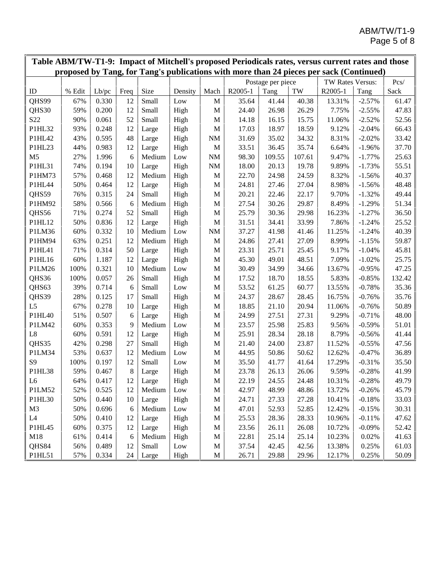| Table ABM/TW-T1-9: Impact of Mitchell's proposed Periodicals rates, versus current rates and those<br>proposed by Tang, for Tang's publications with more than 24 pieces per sack (Continued) |        |       |      |        |              |             |         |                   |                     |                  |          |        |
|-----------------------------------------------------------------------------------------------------------------------------------------------------------------------------------------------|--------|-------|------|--------|--------------|-------------|---------|-------------------|---------------------|------------------|----------|--------|
|                                                                                                                                                                                               |        |       |      |        |              |             |         |                   |                     |                  |          |        |
|                                                                                                                                                                                               |        |       |      |        |              |             |         | Postage per piece |                     | TW Rates Versus: | Pcs/     |        |
| ID                                                                                                                                                                                            | % Edit | Lb/pc | Freq | Size   | Density      | Mach        | R2005-1 | Tang              | $\operatorname{TW}$ | R2005-1          | Tang     | Sack   |
| QHS99                                                                                                                                                                                         | 67%    | 0.330 | 12   | Small  | Low          | $\mathbf M$ | 35.64   | 41.44             | 40.38               | 13.31%           | $-2.57%$ | 61.47  |
| QHS30                                                                                                                                                                                         | 59%    | 0.200 | 12   | Small  | High         | $\mathbf M$ | 24.40   | 26.98             | 26.29               | 7.75%            | $-2.55%$ | 47.83  |
| S <sub>22</sub>                                                                                                                                                                               | 90%    | 0.061 | 52   | Small  | High         | M           | 14.18   | 16.15             | 15.75               | 11.06%           | $-2.52%$ | 52.56  |
| P1HL32                                                                                                                                                                                        | 93%    | 0.248 | 12   | Large  | High         | $\mathbf M$ | 17.03   | 18.97             | 18.59               | 9.12%            | $-2.04%$ | 66.43  |
| P1HL42                                                                                                                                                                                        | 43%    | 0.595 | 48   | Large  | High         | $\rm{NM}$   | 31.69   | 35.02             | 34.32               | 8.31%            | $-2.02%$ | 33.42  |
| P1HL23                                                                                                                                                                                        | 44%    | 0.983 | 12   | Large  | High         | $\mathbf M$ | 33.51   | 36.45             | 35.74               | 6.64%            | $-1.96%$ | 37.70  |
| M <sub>5</sub>                                                                                                                                                                                | 27%    | 1.996 | 6    | Medium | Low          | $\rm{NM}$   | 98.30   | 109.55            | 107.61              | 9.47%            | $-1.77%$ | 25.63  |
| P1HL31                                                                                                                                                                                        | 74%    | 0.194 | 10   | Large  | High         | $\rm{NM}$   | 18.00   | 20.13             | 19.78               | 9.89%            | $-1.73%$ | 55.51  |
| P1HM73                                                                                                                                                                                        | 57%    | 0.468 | 12   | Medium | High         | M           | 22.70   | 24.98             | 24.59               | 8.32%            | $-1.56%$ | 40.37  |
| P1HL44                                                                                                                                                                                        | 50%    | 0.464 | 12   | Large  | High         | $\mathbf M$ | 24.81   | 27.46             | 27.04               | 8.98%            | $-1.56%$ | 48.48  |
| QHS59                                                                                                                                                                                         | 76%    | 0.315 | 24   | Small  | High         | $\mathbf M$ | 20.21   | 22.46             | 22.17               | 9.70%            | $-1.32%$ | 49.44  |
| P1HM92                                                                                                                                                                                        | 58%    | 0.566 | 6    | Medium | High         | $\mathbf M$ | 27.54   | 30.26             | 29.87               | 8.49%            | $-1.29%$ | 51.34  |
| QHS56                                                                                                                                                                                         | 71%    | 0.274 | 52   | Small  | High         | $\mathbf M$ | 25.79   | 30.36             | 29.98               | 16.23%           | $-1.27%$ | 36.50  |
| P1HL12                                                                                                                                                                                        | 50%    | 0.836 | 12   | Large  | High         | $\mathbf M$ | 31.51   | 34.41             | 33.99               | 7.86%            | $-1.24%$ | 25.52  |
| P1LM36                                                                                                                                                                                        | 60%    | 0.332 | 10   | Medium | Low          | $\rm{NM}$   | 37.27   | 41.98             | 41.46               | 11.25%           | $-1.24%$ | 40.39  |
| P1HM94                                                                                                                                                                                        | 63%    | 0.251 | 12   | Medium | High         | $\mathbf M$ | 24.86   | 27.41             | 27.09               | 8.99%            | $-1.15%$ | 59.87  |
| P1HL41                                                                                                                                                                                        | 71%    | 0.314 | 50   | Large  | High         | M           | 23.31   | 25.71             | 25.45               | 9.17%            | $-1.04%$ | 45.81  |
| P1HL16                                                                                                                                                                                        | 60%    | 1.187 | 12   | Large  | High         | M           | 45.30   | 49.01             | 48.51               | 7.09%            | $-1.02%$ | 25.75  |
| P1LM26                                                                                                                                                                                        | 100%   | 0.321 | 10   | Medium | Low          | $\mathbf M$ | 30.49   | 34.99             | 34.66               | 13.67%           | $-0.95%$ | 47.25  |
| QHS36                                                                                                                                                                                         | 100%   | 0.057 | 26   | Small  | High         | M           | 17.52   | 18.70             | 18.55               | 5.83%            | $-0.85%$ | 132.42 |
| QHS63                                                                                                                                                                                         | 39%    | 0.714 | 6    | Small  | Low          | $\mathbf M$ | 53.52   | 61.25             | 60.77               | 13.55%           | $-0.78%$ | 35.36  |
| QHS39                                                                                                                                                                                         | 28%    | 0.125 | 17   | Small  | High         | $\mathbf M$ | 24.37   | 28.67             | 28.45               | 16.75%           | $-0.76%$ | 35.76  |
| L <sub>5</sub>                                                                                                                                                                                | 67%    | 0.278 | 10   | Large  | High         | M           | 18.85   | 21.10             | 20.94               | 11.06%           | $-0.76%$ | 50.89  |
| P1HL40                                                                                                                                                                                        | 51%    | 0.507 | 6    | Large  | High         | $\mathbf M$ | 24.99   | 27.51             | 27.31               | 9.29%            | $-0.71%$ | 48.00  |
| P1LM42                                                                                                                                                                                        | 60%    | 0.353 | 9    | Medium | Low          | M           | 23.57   | 25.98             | 25.83               | 9.56%            | $-0.59%$ | 51.01  |
| L8                                                                                                                                                                                            | 60%    | 0.591 | 12   | Large  | High         | M           | 25.91   | 28.34             | 28.18               | 8.79%            | $-0.56%$ | 41.44  |
| QHS35                                                                                                                                                                                         | 42%    | 0.298 | 27   | Small  | High         | $\mathbf M$ | 21.40   | 24.00             | 23.87               | 11.52%           | $-0.55%$ | 47.56  |
| P1LM34                                                                                                                                                                                        | 53%    | 0.637 | 12   | Medium | Low          | M           | 44.95   | 50.86             | 50.62               | 12.62%           | $-0.47%$ | 36.89  |
| S9                                                                                                                                                                                            | 100%   | 0.197 | 12   | Small  | Low          | M           | 35.50   | 41.77             | 41.64               | 17.29%           | $-0.31%$ | 35.50  |
| P1HL38                                                                                                                                                                                        | 59%    | 0.467 | 8    | Large  | High         | M           | 23.78   | 26.13             | 26.06               | 9.59%            | $-0.28%$ | 41.99  |
| L6                                                                                                                                                                                            | 64%    | 0.417 | 12   | Large  | High         | M           | 22.19   | 24.55             | 24.48               | 10.31%           | $-0.28%$ | 49.79  |
| P1LM52                                                                                                                                                                                        | 52%    | 0.525 | 12   | Medium | Low          | $\mathbf M$ | 42.97   | 48.99             | 48.86               | 13.72%           | $-0.26%$ | 45.79  |
| P1HL30                                                                                                                                                                                        | 50%    | 0.440 | 10   | Large  | High         | $\mathbf M$ | 24.71   | 27.33             | 27.28               | 10.41%           | $-0.18%$ | 33.03  |
| M <sub>3</sub>                                                                                                                                                                                | 50%    | 0.696 | 6    | Medium | $_{\rm Low}$ | $\mathbf M$ | 47.01   | 52.93             | 52.85               | 12.42%           | $-0.15%$ | 30.31  |
| $\mathsf{L}4$                                                                                                                                                                                 | 50%    | 0.410 | 12   | Large  | High         | $\mathbf M$ | 25.53   | 28.36             | 28.33               | 10.96%           | $-0.11%$ | 47.62  |
| P1HL45                                                                                                                                                                                        | 60%    | 0.375 | 12   | Large  | High         | M           | 23.56   | 26.11             | 26.08               | 10.72%           | $-0.09%$ | 52.42  |
| M18                                                                                                                                                                                           | 61%    | 0.414 | 6    | Medium | High         | M           | 22.81   | 25.14             | 25.14               | 10.23%           | 0.02%    | 41.63  |
| QHS84                                                                                                                                                                                         | 56%    | 0.489 | 12   | Small  | Low          | $\mathbf M$ | 37.54   | 42.45             | 42.56               | 13.38%           | 0.25%    | 61.03  |
| P1HL51                                                                                                                                                                                        | 57%    | 0.334 | 24   | Large  | High         | $\mathbf M$ | 26.71   | 29.88             | 29.96               | 12.17%           | 0.25%    | 50.09  |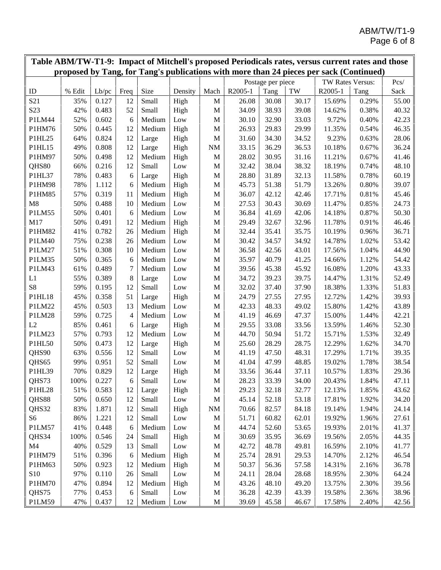| Table ABM/TW-T1-9: Impact of Mitchell's proposed Periodicals rates, versus current rates and those<br>proposed by Tang, for Tang's publications with more than 24 pieces per sack (Continued) |        |       |      |        |                 |             |         |                   |       |                  |       |       |
|-----------------------------------------------------------------------------------------------------------------------------------------------------------------------------------------------|--------|-------|------|--------|-----------------|-------------|---------|-------------------|-------|------------------|-------|-------|
|                                                                                                                                                                                               |        |       |      |        |                 |             |         |                   |       |                  |       |       |
|                                                                                                                                                                                               |        |       |      |        |                 |             |         | Postage per piece |       | TW Rates Versus: |       | Pcs/  |
| ID                                                                                                                                                                                            | % Edit | Lb/pc | Freq | Size   | Density         | Mach        | R2005-1 | Tang              | TW    | R2005-1          | Tang  | Sack  |
| S <sub>21</sub>                                                                                                                                                                               | 35%    | 0.127 | 12   | Small  | High            | M           | 26.08   | 30.08             | 30.17 | 15.69%           | 0.29% | 55.00 |
| S23                                                                                                                                                                                           | 42%    | 0.483 | 52   | Small  | High            | M           | 34.09   | 38.93             | 39.08 | 14.62%           | 0.38% | 40.32 |
| P1LM44                                                                                                                                                                                        | 52%    | 0.602 | 6    | Medium | Low             | M           | 30.10   | 32.90             | 33.03 | 9.72%            | 0.40% | 42.23 |
| P1HM76                                                                                                                                                                                        | 50%    | 0.445 | 12   | Medium | High            | M           | 26.93   | 29.83             | 29.99 | 11.35%           | 0.54% | 46.35 |
| P1HL25                                                                                                                                                                                        | 64%    | 0.824 | 12   | Large  | High            | $\mathbf M$ | 31.60   | 34.30             | 34.52 | 9.23%            | 0.63% | 28.06 |
| P1HL15                                                                                                                                                                                        | 49%    | 0.808 | 12   | Large  | High            | <b>NM</b>   | 33.15   | 36.29             | 36.53 | 10.18%           | 0.67% | 36.24 |
| P1HM97                                                                                                                                                                                        | 50%    | 0.498 | 12   | Medium | High            | M           | 28.02   | 30.95             | 31.16 | 11.21%           | 0.67% | 41.46 |
| QHS80                                                                                                                                                                                         | 66%    | 0.216 | 12   | Small  | Low             | M           | 32.42   | 38.04             | 38.32 | 18.19%           | 0.74% | 48.10 |
| P1HL37                                                                                                                                                                                        | 78%    | 0.483 | 6    | Large  | High            | M           | 28.80   | 31.89             | 32.13 | 11.58%           | 0.78% | 60.19 |
| P1HM98                                                                                                                                                                                        | 78%    | 1.112 | 6    | Medium | High            | $\mathbf M$ | 45.73   | 51.38             | 51.79 | 13.26%           | 0.80% | 39.07 |
| P1HM85                                                                                                                                                                                        | 57%    | 0.319 | 11   | Medium | High            | $\mathbf M$ | 36.07   | 42.12             | 42.46 | 17.71%           | 0.81% | 45.46 |
| M8                                                                                                                                                                                            | 50%    | 0.488 | 10   | Medium | Low             | M           | 27.53   | 30.43             | 30.69 | 11.47%           | 0.85% | 24.73 |
| P1LM55                                                                                                                                                                                        | 50%    | 0.401 | 6    | Medium | Low             | M           | 36.84   | 41.69             | 42.06 | 14.18%           | 0.87% | 50.30 |
| M17                                                                                                                                                                                           | 50%    | 0.491 | 12   | Medium | High            | M           | 29.49   | 32.67             | 32.96 | 11.78%           | 0.91% | 46.46 |
| P1HM82                                                                                                                                                                                        | 41%    | 0.782 | 26   | Medium | High            | $\mathbf M$ | 32.44   | 35.41             | 35.75 | 10.19%           | 0.96% | 36.71 |
| P1LM40                                                                                                                                                                                        | 75%    | 0.238 | 26   | Medium | Low             | M           | 30.42   | 34.57             | 34.92 | 14.78%           | 1.02% | 53.42 |
| P1LM27                                                                                                                                                                                        | 51%    | 0.308 | 10   | Medium | Low             | M           | 36.58   | 42.56             | 43.01 | 17.56%           | 1.04% | 44.90 |
| P1LM35                                                                                                                                                                                        | 50%    | 0.365 | 6    | Medium | Low             | M           | 35.97   | 40.79             | 41.25 | 14.66%           | 1.12% | 54.42 |
| P1LM43                                                                                                                                                                                        | 61%    | 0.489 | 7    | Medium | Low             | M           | 39.56   | 45.38             | 45.92 | 16.08%           | 1.20% | 43.33 |
| L1                                                                                                                                                                                            | 55%    | 0.389 | 8    | Large  | Low             | M           | 34.72   | 39.23             | 39.75 | 14.47%           | 1.31% | 52.49 |
| S <sub>8</sub>                                                                                                                                                                                | 59%    | 0.195 | 12   | Small  | Low             | $\mathbf M$ | 32.02   | 37.40             | 37.90 | 18.38%           | 1.33% | 51.83 |
| P1HL18                                                                                                                                                                                        | 45%    | 0.358 | 51   | Large  | High            | M           | 24.79   | 27.55             | 27.95 | 12.72%           | 1.42% | 39.93 |
| P1LM22                                                                                                                                                                                        | 45%    | 0.503 | 13   | Medium | Low             | M           | 42.33   | 48.33             | 49.02 | 15.80%           | 1.42% | 43.89 |
| P1LM28                                                                                                                                                                                        | 59%    | 0.725 | 4    | Medium | Low             | $\mathbf M$ | 41.19   | 46.69             | 47.37 | 15.00%           | 1.44% | 42.21 |
| L2                                                                                                                                                                                            | 85%    | 0.461 | 6    | Large  | High            | M           | 29.55   | 33.08             | 33.56 | 13.59%           | 1.46% | 52.30 |
| P1LM23                                                                                                                                                                                        | 57%    | 0.793 | 12   | Medium | Low             | M           | 44.70   | 50.94             | 51.72 | 15.71%           | 1.53% | 32.49 |
| P1HL50                                                                                                                                                                                        | 50%    | 0.473 | 12   | Large  | High            | M           | 25.60   | 28.29             | 28.75 | 12.29%           | 1.62% | 34.70 |
| QHS90                                                                                                                                                                                         | 63%    | 0.556 | 12   | Small  | Low             | M           | 41.19   | 47.50             | 48.31 | 17.29%           | 1.71% | 39.35 |
| QHS65                                                                                                                                                                                         | 99%    | 0.951 | 52   | Small  | Low             | M           | 41.04   | 47.99             | 48.85 | 19.02%           | 1.78% | 38.54 |
| P1HL39                                                                                                                                                                                        | 70%    | 0.829 | 12   | Large  | High            | M           | 33.56   | 36.44             | 37.11 | 10.57%           | 1.83% | 29.36 |
| QHS73                                                                                                                                                                                         | 100%   | 0.227 | 6    | Small  | Low             | M           | 28.23   | 33.39             | 34.00 | 20.43%           | 1.84% | 47.11 |
| P1HL28                                                                                                                                                                                        | 51%    | 0.583 | 12   | Large  | High            | M           | 29.23   | 32.18             | 32.77 | 12.13%           | 1.85% | 43.62 |
| QHS88                                                                                                                                                                                         | 50%    | 0.650 | 12   | Small  | Low             | $\mathbf M$ | 45.14   | 52.18             | 53.18 | 17.81%           | 1.92% | 34.20 |
| QHS32                                                                                                                                                                                         | 83%    | 1.871 | 12   | Small  | High            | <b>NM</b>   | 70.66   | 82.57             | 84.18 | 19.14%           | 1.94% | 24.14 |
| S <sub>6</sub>                                                                                                                                                                                | 86%    | 1.221 | 12   | Small  | Low             | M           | 51.71   | 60.82             | 62.01 | 19.92%           | 1.96% | 27.61 |
| P1LM57                                                                                                                                                                                        | 41%    | 0.448 | 6    | Medium | $_{\text{Low}}$ | M           | 44.74   | 52.60             | 53.65 | 19.93%           | 2.01% | 41.37 |
| QHS34                                                                                                                                                                                         | 100%   | 0.546 | 24   | Small  | High            | M           | 30.69   | 35.95             | 36.69 | 19.56%           | 2.05% | 44.35 |
| M <sub>4</sub>                                                                                                                                                                                | 40%    | 0.529 | 13   | Small  | Low             |             | 42.72   | 48.78             | 49.81 | 16.59%           | 2.10% | 41.77 |
| P1HM79                                                                                                                                                                                        |        |       |      | Medium |                 | M           |         |                   |       | 14.70%           |       |       |
|                                                                                                                                                                                               | 51%    | 0.396 | 6    |        | High            | M           | 25.74   | 28.91             | 29.53 |                  | 2.12% | 46.54 |
| P1HM63                                                                                                                                                                                        | 50%    | 0.923 | 12   | Medium | High            | M           | 50.37   | 56.36             | 57.58 | 14.31%           | 2.16% | 36.78 |
| S10                                                                                                                                                                                           | 97%    | 0.110 | 26   | Small  | Low             | M           | 24.11   | 28.04             | 28.68 | 18.95%           | 2.30% | 64.24 |
| P1HM70                                                                                                                                                                                        | 47%    | 0.894 | 12   | Medium | High            | M           | 43.26   | 48.10             | 49.20 | 13.75%           | 2.30% | 39.56 |
| QHS75                                                                                                                                                                                         | 77%    | 0.453 | 6    | Small  | Low             | M           | 36.28   | 42.39             | 43.39 | 19.58%           | 2.36% | 38.96 |
| P1LM59                                                                                                                                                                                        | 47%    | 0.437 | 12   | Medium | Low             | M           | 39.69   | 45.58             | 46.67 | 17.58%           | 2.40% | 42.56 |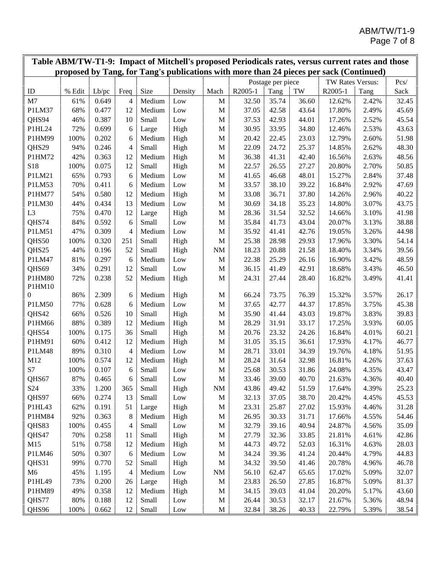| Table ABM/TW-T1-9: Impact of Mitchell's proposed Periodicals rates, versus current rates and those<br>proposed by Tang, for Tang's publications with more than 24 pieces per sack (Continued) |        |       |                |        |              |              |         |                   |       |                  |       |       |
|-----------------------------------------------------------------------------------------------------------------------------------------------------------------------------------------------|--------|-------|----------------|--------|--------------|--------------|---------|-------------------|-------|------------------|-------|-------|
|                                                                                                                                                                                               |        |       |                |        |              |              |         |                   |       |                  |       |       |
|                                                                                                                                                                                               |        |       |                |        |              |              |         | Postage per piece |       | TW Rates Versus: |       | Pcs/  |
| ID                                                                                                                                                                                            | % Edit | Lb/pc | Freq           | Size   | Density      | Mach         | R2005-1 | Tang              | TW    | R2005-1          | Tang  | Sack  |
| M <sub>7</sub>                                                                                                                                                                                | 61%    | 0.649 | 4              | Medium | Low          | $\mathbf M$  | 32.50   | 35.74             | 36.60 | 12.62%           | 2.42% | 32.45 |
| P1LM37                                                                                                                                                                                        | 68%    | 0.477 | 12             | Medium | Low          | M            | 37.05   | 42.58             | 43.64 | 17.80%           | 2.49% | 45.69 |
| QHS94                                                                                                                                                                                         | 46%    | 0.387 | 10             | Small  | Low          | M            | 37.53   | 42.93             | 44.01 | 17.26%           | 2.52% | 45.54 |
| P1HL24                                                                                                                                                                                        | 72%    | 0.699 | 6              | Large  | High         | $\mathbf M$  | 30.95   | 33.95             | 34.80 | 12.46%           | 2.53% | 43.63 |
| P1HM99                                                                                                                                                                                        | 100%   | 0.202 | 6              | Medium | High         | $\mathbf M$  | 20.42   | 22.45             | 23.03 | 12.79%           | 2.60% | 51.98 |
| QHS29                                                                                                                                                                                         | 94%    | 0.246 | 4              | Small  | High         | $\mathbf M$  | 22.09   | 24.72             | 25.37 | 14.85%           | 2.62% | 48.30 |
| P1HM72                                                                                                                                                                                        | 42%    | 0.363 | 12             | Medium | High         | $\mathbf M$  | 36.38   | 41.31             | 42.40 | 16.56%           | 2.63% | 48.56 |
| S18                                                                                                                                                                                           | 100%   | 0.075 | 12             | Small  | High         | $\mathbf M$  | 22.57   | 26.55             | 27.27 | 20.80%           | 2.70% | 50.85 |
| P1LM21                                                                                                                                                                                        | 65%    | 0.793 | 6              | Medium | Low          | $\mathbf M$  | 41.65   | 46.68             | 48.01 | 15.27%           | 2.84% | 37.48 |
| P1LM53                                                                                                                                                                                        | 70%    | 0.411 | 6              | Medium | Low          | $\mathbf M$  | 33.57   | 38.10             | 39.22 | 16.84%           | 2.92% | 47.69 |
| P1HM77                                                                                                                                                                                        | 54%    | 0.580 | 12             | Medium | High         | $\mathbf M$  | 33.08   | 36.71             | 37.80 | 14.26%           | 2.96% | 40.22 |
| P1LM30                                                                                                                                                                                        | 44%    | 0.434 | 13             | Medium | Low          | M            | 30.69   | 34.18             | 35.23 | 14.80%           | 3.07% | 43.75 |
| L <sub>3</sub>                                                                                                                                                                                | 75%    | 0.470 | 12             | Large  | High         | $\mathbf M$  | 28.36   | 31.54             | 32.52 | 14.66%           | 3.10% | 41.98 |
| QHS74                                                                                                                                                                                         | 84%    | 0.592 | 6              | Small  | Low          | $\mathbf M$  | 35.84   | 41.73             | 43.04 | 20.07%           | 3.13% | 38.88 |
| P1LM51                                                                                                                                                                                        | 47%    | 0.309 | 4              | Medium | Low          | $\mathbf M$  | 35.92   | 41.41             | 42.76 | 19.05%           | 3.26% | 44.98 |
| QHS50                                                                                                                                                                                         | 100%   | 0.320 | 251            | Small  | High         | M            | 25.38   | 28.98             | 29.93 | 17.96%           | 3.30% | 54.14 |
| QHS25                                                                                                                                                                                         | 44%    | 0.196 | 52             | Small  | High         | $\rm{NM}$    | 18.23   | 20.88             | 21.58 | 18.40%           | 3.34% | 39.56 |
| P1LM47                                                                                                                                                                                        | 81%    | 0.297 | 6              | Medium | Low          | $\mathbf M$  | 22.38   | 25.29             | 26.16 | 16.90%           | 3.42% | 48.59 |
| QHS69                                                                                                                                                                                         | 34%    | 0.291 | 12             | Small  | Low          | M            | 36.15   | 41.49             | 42.91 | 18.68%           | 3.43% | 46.50 |
| P1HM80                                                                                                                                                                                        | 72%    | 0.238 | 52             | Medium | High         | M            | 24.31   | 27.44             | 28.40 | 16.82%           | 3.49% | 41.41 |
| P1HM10                                                                                                                                                                                        |        |       |                |        |              |              |         |                   |       |                  |       |       |
| 0                                                                                                                                                                                             | 86%    | 2.309 | 6              | Medium | High         | M            | 66.24   | 73.75             | 76.39 | 15.32%           | 3.57% | 26.17 |
| P1LM50                                                                                                                                                                                        | 77%    | 0.628 | 6              | Medium | Low          | $\mathbf M$  | 37.65   | 42.77             | 44.37 | 17.85%           | 3.75% | 45.38 |
| QHS42                                                                                                                                                                                         | 66%    | 0.526 | 10             | Small  | High         | $\mathbf M$  | 35.90   | 41.44             | 43.03 | 19.87%           | 3.83% | 39.83 |
| P1HM66                                                                                                                                                                                        | 88%    | 0.389 | 12             | Medium | High         | $\mathbf M$  | 28.29   | 31.91             | 33.17 | 17.25%           | 3.93% | 60.05 |
| QHS54                                                                                                                                                                                         | 100%   | 0.175 | 36             | Small  | High         | $\mathbf M$  | 20.76   | 23.32             | 24.26 | 16.84%           | 4.01% | 60.21 |
| P1HM91                                                                                                                                                                                        | 60%    | 0.412 | 12             | Medium | High         | $\mathbf M$  | 31.05   | 35.15             | 36.61 | 17.93%           | 4.17% | 46.77 |
| P1LM48                                                                                                                                                                                        | 89%    | 0.310 | $\overline{4}$ | Medium | Low          | M            | 28.71   | 33.01             | 34.39 | 19.76%           | 4.18% | 51.95 |
| M12                                                                                                                                                                                           | 100%   | 0.574 | 12             | Medium | High         | M            | 28.24   | 31.64             | 32.98 | 16.81%           | 4.26% | 37.63 |
| S7                                                                                                                                                                                            | 100%   | 0.107 | 6              | Small  | Low          | $\mathbf M$  | 25.68   | 30.53             | 31.86 | 24.08%           | 4.35% | 43.47 |
| QHS67                                                                                                                                                                                         | 87%    | 0.465 | 6              | Small  | $_{\rm Low}$ | $\mathbf M$  | 33.46   | 39.00             | 40.70 | 21.63%           | 4.36% | 40.40 |
| S <sub>24</sub>                                                                                                                                                                               | 33%    | 1.200 | 365            | Small  | High         | $\rm{NM}$    | 43.86   | 49.42             | 51.59 | 17.64%           | 4.39% | 25.23 |
| QHS97                                                                                                                                                                                         | 66%    | 0.274 | 13             | Small  | Low          | M            | 32.13   | 37.05             | 38.70 | 20.42%           | 4.45% | 45.53 |
| P1HL43                                                                                                                                                                                        | 62%    | 0.191 | 51             | Large  | High         | M            | 23.31   | 25.87             | 27.02 | 15.93%           | 4.46% | 31.28 |
| P1HM84                                                                                                                                                                                        | 92%    | 0.363 | 8              | Medium | High         | M            | 26.95   | 30.33             | 31.71 | 17.66%           | 4.55% | 54.46 |
| QHS83                                                                                                                                                                                         | 100%   | 0.455 | 4              | Small  | Low          | $\mathbf M$  | 32.79   | 39.16             | 40.94 | 24.87%           | 4.56% | 35.09 |
| QHS47                                                                                                                                                                                         | 70%    | 0.258 | 11             | Small  | High         | $\mathbf M$  | 27.79   | 32.36             | 33.85 | 21.81%           | 4.61% | 42.86 |
| M15                                                                                                                                                                                           | 51%    | 0.758 | 12             | Medium | High         | $\mathbf M$  | 44.73   | 49.72             | 52.03 | 16.31%           | 4.63% | 28.03 |
| P1LM46                                                                                                                                                                                        | 50%    | 0.307 | 6              | Medium | Low          | M            | 34.24   | 39.36             | 41.24 | 20.44%           | 4.79% | 44.83 |
| QHS31                                                                                                                                                                                         | 99%    | 0.770 | 52             | Small  | High         | M            | 34.32   | 39.50             | 41.46 | 20.78%           | 4.96% | 46.78 |
|                                                                                                                                                                                               |        |       |                | Medium |              |              |         |                   |       |                  |       |       |
| M6                                                                                                                                                                                            | 45%    | 1.195 | 4              |        | Low          | $\rm{NM}$    | 56.10   | 62.47             | 65.65 | 17.02%           | 5.09% | 32.07 |
| P1HL49                                                                                                                                                                                        | 73%    | 0.200 | 26             | Large  | High         | $\mathbf{M}$ | 23.83   | 26.50             | 27.85 | 16.87%           | 5.09% | 81.37 |
| P1HM89                                                                                                                                                                                        | 49%    | 0.358 | 12             | Medium | High         | M            | 34.15   | 39.03             | 41.04 | 20.20%           | 5.17% | 43.60 |
| QHS77                                                                                                                                                                                         | 80%    | 0.188 | 12             | Small  | Low          | $\mathbf M$  | 26.44   | 30.53             | 32.17 | 21.67%           | 5.36% | 48.94 |
| QHS96                                                                                                                                                                                         | 100%   | 0.662 | 12             | Small  | Low          | M            | 32.84   | 38.26             | 40.33 | 22.79%           | 5.39% | 38.54 |